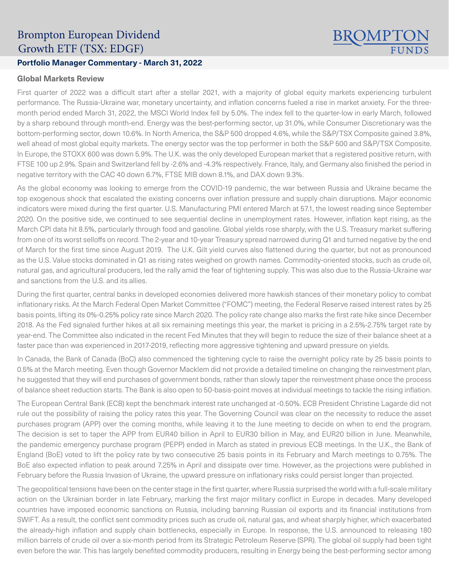# Brompton European Dividend Growth ETF (TSX: EDGF)

## **Portfolio Manager Commentary - March 31, 2022**

### **Global Markets Review**

First quarter of 2022 was a difficult start after a stellar 2021, with a majority of global equity markets experiencing turbulent performance. The Russia-Ukraine war, monetary uncertainty, and inflation concerns fueled a rise in market anxiety. For the threemonth period ended March 31, 2022, the MSCI World Index fell by 5.0%. The index fell to the quarter-low in early March, followed by a sharp rebound through month-end. Energy was the best-performing sector, up 31.0%, while Consumer Discretionary was the bottom-performing sector, down 10.6%. In North America, the S&P 500 dropped 4.6%, while the S&P/TSX Composite gained 3.8%, well ahead of most global equity markets. The energy sector was the top performer in both the S&P 500 and S&P/TSX Composite. In Europe, the STOXX 600 was down 5.9%. The U.K. was the only developed European market that a registered positive return, with FTSE 100 up 2.9%. Spain and Switzerland fell by -2.6% and -4.3% respectively. France, Italy, and Germany also finished the period in negative territory with the CAC 40 down 6.7%, FTSE MIB down 8.1%, and DAX down 9.3%.

BROMPTON

As the global economy was looking to emerge from the COVID-19 pandemic, the war between Russia and Ukraine became the top exogenous shock that escalated the existing concerns over inflation pressure and supply chain disruptions. Major economic indicators were mixed during the first quarter. U.S. Manufacturing PMI entered March at 57.1, the lowest reading since September 2020. On the positive side, we continued to see sequential decline in unemployment rates. However, inflation kept rising, as the March CPI data hit 8.5%, particularly through food and gasoline. Global yields rose sharply, with the U.S. Treasury market suffering from one of its worst selloffs on record. The 2-year and 10-year Treasury spread narrowed during Q1 and turned negative by the end of March for the first time since August 2019. The U.K. Gilt yield curves also flattened during the quarter, but not as pronounced as the U.S. Value stocks dominated in Q1 as rising rates weighed on growth names. Commodity-oriented stocks, such as crude oil, natural gas, and agricultural producers, led the rally amid the fear of tightening supply. This was also due to the Russia-Ukraine war and sanctions from the U.S. and its allies.

During the first quarter, central banks in developed economies delivered more hawkish stances of their monetary policy to combat inflationary risks. At the March Federal Open Market Committee ("FOMC") meeting, the Federal Reserve raised interest rates by 25 basis points, lifting its 0%-0.25% policy rate since March 2020. The policy rate change also marks the first rate hike since December 2018. As the Fed signaled further hikes at all six remaining meetings this year, the market is pricing in a 2.5%-2.75% target rate by year-end. The Committee also indicated in the recent Fed Minutes that they will begin to reduce the size of their balance sheet at a faster pace than was experienced in 2017-2019, reflecting more aggressive tightening and upward pressure on yields.

In Canada, the Bank of Canada (BoC) also commenced the tightening cycle to raise the overnight policy rate by 25 basis points to 0.5% at the March meeting. Even though Governor Macklem did not provide a detailed timeline on changing the reinvestment plan, he suggested that they will end purchases of government bonds, rather than slowly taper the reinvestment phase once the process of balance sheet reduction starts. The Bank is also open to 50-basis-point moves at individual meetings to tackle the rising inflation.

The European Central Bank (ECB) kept the benchmark interest rate unchanged at -0.50%. ECB President Christine Lagarde did not rule out the possibility of raising the policy rates this year. The Governing Council was clear on the necessity to reduce the asset purchases program (APP) over the coming months, while leaving it to the June meeting to decide on when to end the program. The decision is set to taper the APP from EUR40 billion in April to EUR30 billion in May, and EUR20 billion in June. Meanwhile, the pandemic emergency purchase program (PEPP) ended in March as stated in previous ECB meetings. In the U.K., the Bank of England (BoE) voted to lift the policy rate by two consecutive 25 basis points in its February and March meetings to 0.75%. The BoE also expected inflation to peak around 7.25% in April and dissipate over time. However, as the projections were published in February before the Russia Invasion of Ukraine, the upward pressure on inflationary risks could persist longer than projected.

The geopolitical tensions have been on the center stage in the first quarter, where Russia surprised the world with a full-scale military action on the Ukrainian border in late February, marking the first major military conflict in Europe in decades. Many developed countries have imposed economic sanctions on Russia, including banning Russian oil exports and its financial institutions from SWIFT. As a result, the conflict sent commodity prices such as crude oil, natural gas, and wheat sharply higher, which exacerbated the already-high inflation and supply chain bottlenecks, especially in Europe. In response, the U.S. announced to releasing 180 million barrels of crude oil over a six-month period from its Strategic Petroleum Reserve (SPR). The global oil supply had been tight even before the war. This has largely benefited commodity producers, resulting in Energy being the best-performing sector among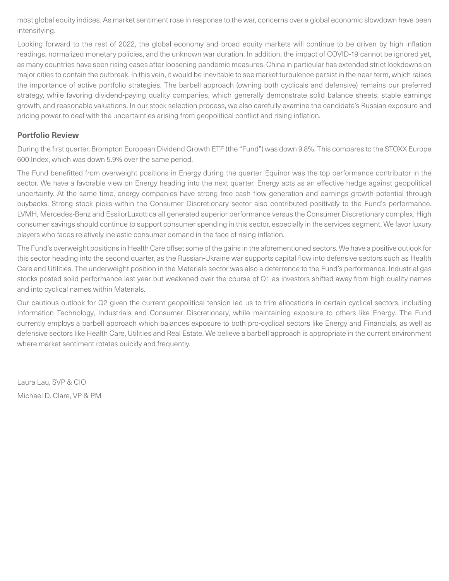most global equity indices. As market sentiment rose in response to the war, concerns over a global economic slowdown have been intensifying.

Looking forward to the rest of 2022, the global economy and broad equity markets will continue to be driven by high inflation readings, normalized monetary policies, and the unknown war duration. In addition, the impact of COVID-19 cannot be ignored yet, as many countries have seen rising cases after loosening pandemic measures. China in particular has extended strict lockdowns on major cities to contain the outbreak. In this vein, it would be inevitable to see market turbulence persist in the near-term, which raises the importance of active portfolio strategies. The barbell approach (owning both cyclicals and defensive) remains our preferred strategy, while favoring dividend-paying quality companies, which generally demonstrate solid balance sheets, stable earnings growth, and reasonable valuations. In our stock selection process, we also carefully examine the candidate's Russian exposure and pricing power to deal with the uncertainties arising from geopolitical conflict and rising inflation.

# **Portfolio Review**

During the first quarter, Brompton European Dividend Growth ETF (the "Fund") was down 9.8%. This compares to the STOXX Europe 600 Index, which was down 5.9% over the same period.

The Fund benefitted from overweight positions in Energy during the quarter. Equinor was the top performance contributor in the sector. We have a favorable view on Energy heading into the next quarter. Energy acts as an effective hedge against geopolitical uncertainty. At the same time, energy companies have strong free cash flow generation and earnings growth potential through buybacks. Strong stock picks within the Consumer Discretionary sector also contributed positively to the Fund's performance. LVMH, Mercedes-Benz and EssilorLuxottica all generated superior performance versus the Consumer Discretionary complex. High consumer savings should continue to support consumer spending in this sector, especially in the services segment. We favor luxury players who faces relatively inelastic consumer demand in the face of rising inflation.

The Fund's overweight positions in Health Care offset some of the gains in the aforementioned sectors. We have a positive outlook for this sector heading into the second quarter, as the Russian-Ukraine war supports capital flow into defensive sectors such as Health Care and Utilities. The underweight position in the Materials sector was also a deterrence to the Fund's performance. Industrial gas stocks posted solid performance last year but weakened over the course of Q1 as investors shifted away from high quality names and into cyclical names within Materials.

Our cautious outlook for Q2 given the current geopolitical tension led us to trim allocations in certain cyclical sectors, including Information Technology, Industrials and Consumer Discretionary, while maintaining exposure to others like Energy. The Fund currently employs a barbell approach which balances exposure to both pro-cyclical sectors like Energy and Financials, as well as defensive sectors like Health Care, Utilities and Real Estate. We believe a barbell approach is appropriate in the current environment where market sentiment rotates quickly and frequently.

Laura Lau, SVP & CIO Michael D. Clare, VP & PM